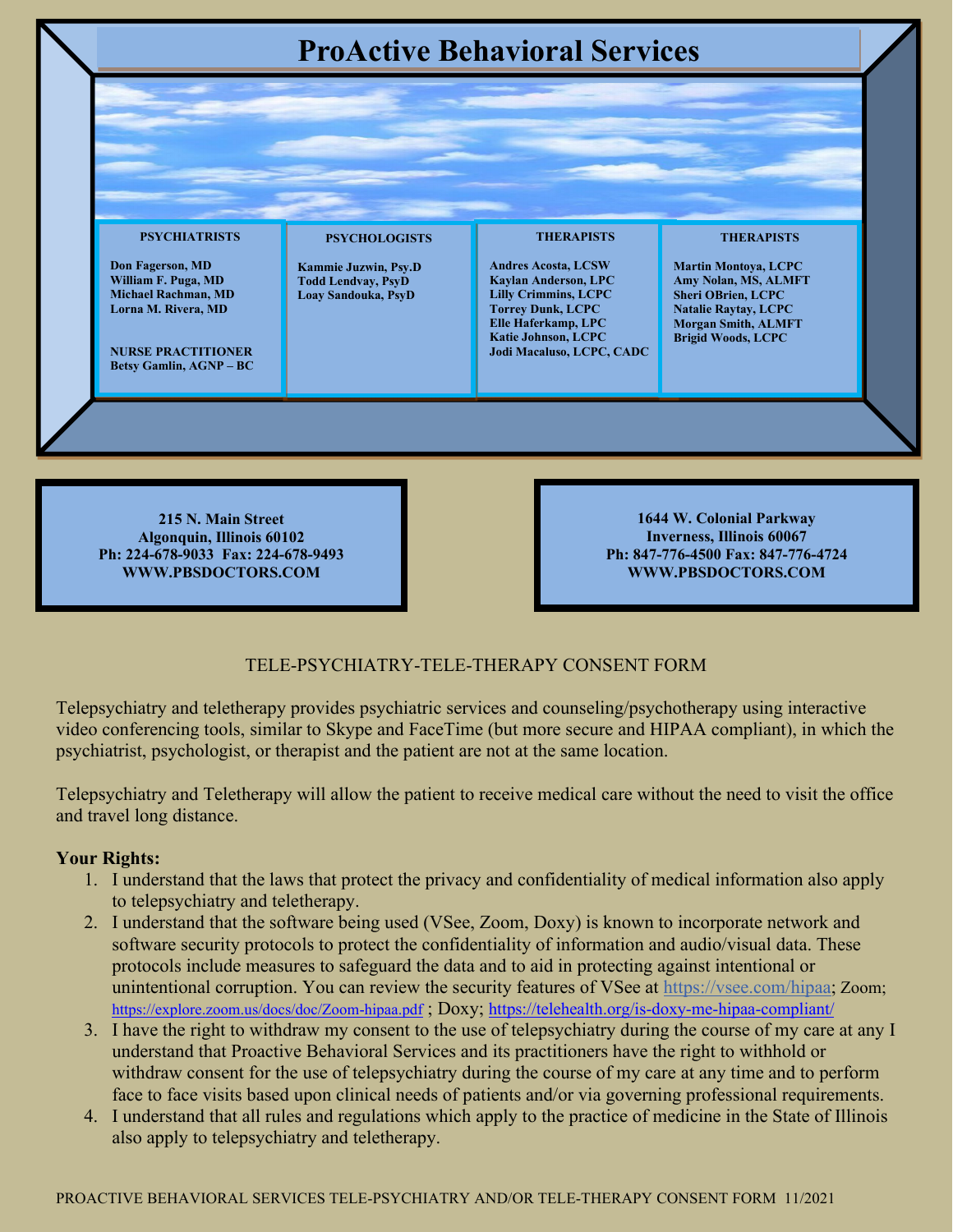

**215 N. Main Street Algonquin, Illinois 60102 Ph: 224-678-9033 Fax: 224-678-9493 WWW.PBSDOCTORS.COM**

**1644 W. Colonial Parkway Inverness, Illinois 60067 Ph: 847-776-4500 Fax: 847-776-4724 WWW.PBSDOCTORS.COM**

## TELE-PSYCHIATRY-TELE-THERAPY CONSENT FORM

Telepsychiatry and teletherapy provides psychiatric services and counseling/psychotherapy using interactive video conferencing tools, similar to Skype and FaceTime (but more secure and HIPAA compliant), in which the psychiatrist, psychologist, or therapist and the patient are not at the same location.

Telepsychiatry and Teletherapy will allow the patient to receive medical care without the need to visit the office and travel long distance.

## **Your Rights:**

- 1. I understand that the laws that protect the privacy and confidentiality of medical information also apply to telepsychiatry and teletherapy.
- 2. I understand that the software being used (VSee, Zoom, Doxy) is known to incorporate network and software security protocols to protect the confidentiality of information and audio/visual data. These protocols include measures to safeguard the data and to aid in protecting against intentional or unintentional corruption. You can review the security features of VSee at [https://vsee.com/hipaa;](https://vsee.com/hipaa) Zoom; <https://explore.zoom.us/docs/doc/Zoom-hipaa.pdf> ; Doxy;<https://telehealth.org/is-doxy-me-hipaa-compliant/>
- 3. I have the right to withdraw my consent to the use of telepsychiatry during the course of my care at any I understand that Proactive Behavioral Services and its practitioners have the right to withhold or withdraw consent for the use of telepsychiatry during the course of my care at any time and to perform face to face visits based upon clinical needs of patients and/or via governing professional requirements.
- 4. I understand that all rules and regulations which apply to the practice of medicine in the State of Illinois also apply to telepsychiatry and teletherapy.